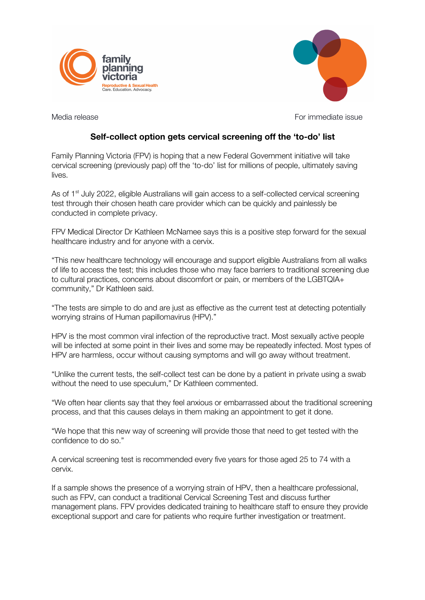



Media release For immediate issue

## **Self-collect option gets cervical screening off the 'to-do' list**

Family Planning Victoria (FPV) is hoping that a new Federal Government initiative will take cervical screening (previously pap) off the 'to-do' list for millions of people, ultimately saving lives.

As of 1<sup>st</sup> July 2022, eligible Australians will gain access to a self-collected cervical screening test through their chosen heath care provider which can be quickly and painlessly be conducted in complete privacy.

FPV Medical Director Dr Kathleen McNamee says this is a positive step forward for the sexual healthcare industry and for anyone with a cervix.

"This new healthcare technology will encourage and support eligible Australians from all walks of life to access the test; this includes those who may face barriers to traditional screening due to cultural practices, concerns about discomfort or pain, or members of the LGBTQIA+ community," Dr Kathleen said.

"The tests are simple to do and are just as effective as the current test at detecting potentially worrying strains of Human papillomavirus (HPV)."

HPV is the most common viral infection of the reproductive tract. Most sexually active people will be infected at some point in their lives and some may be repeatedly infected. Most types of HPV are harmless, occur without causing symptoms and will go away without treatment.

"Unlike the current tests, the self-collect test can be done by a patient in private using a swab without the need to use speculum," Dr Kathleen commented.

"We often hear clients say that they feel anxious or embarrassed about the traditional screening process, and that this causes delays in them making an appointment to get it done.

"We hope that this new way of screening will provide those that need to get tested with the confidence to do so."

A cervical screening test is recommended every five years for those aged 25 to 74 with a cervix.

If a sample shows the presence of a worrying strain of HPV, then a healthcare professional, such as FPV, can conduct a traditional Cervical Screening Test and discuss further management plans. FPV provides dedicated training to healthcare staff to ensure they provide exceptional support and care for patients who require further investigation or treatment.